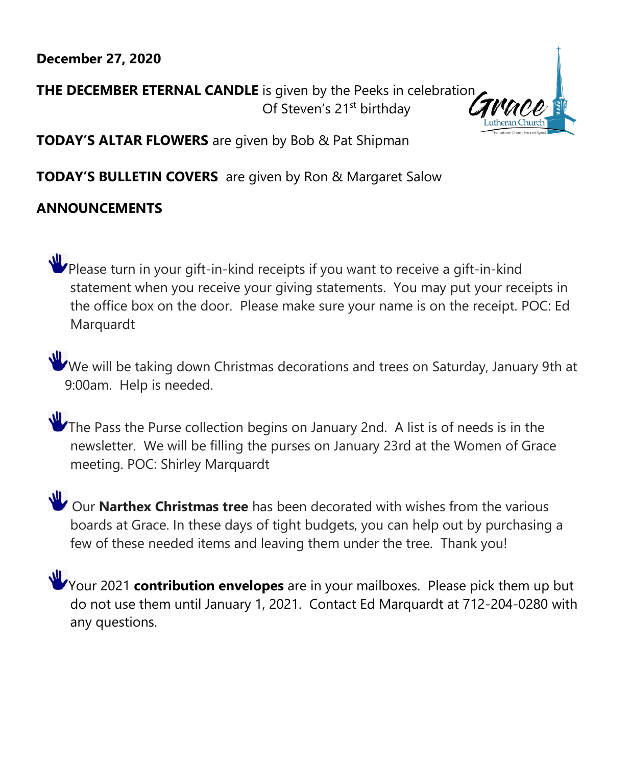# **December 27, 2020**

**THE DECEMBER ETERNAL CANDLE** is given by the Peeks in celebration Of Steven's 21<sup>st</sup> birthday



**TODAY'S ALTAR FLOWERS** are given by Bob & Pat Shipman

**TODAY'S BULLETIN COVERS** are given by Ron & Margaret Salow

# **ANNOUNCEMENTS**

Please turn in your gift-in-kind receipts if you want to receive a gift-in-kind statement when you receive your giving statements. You may put your receipts in the office box on the door. Please make sure your name is on the receipt. POC: Ed Marquardt

We will be taking down Christmas decorations and trees on Saturday, January 9th at 9:00am. Help is needed.

The Pass the Purse collection begins on January 2nd. A list is of needs is in the newsletter. We will be filling the purses on January 23rd at the Women of Grace meeting. POC: Shirley Marquardt

Our **Narthex Christmas tree** has been decorated with wishes from the various boards at Grace. In these days of tight budgets, you can help out by purchasing a few of these needed items and leaving them under the tree. Thank you!

Your 2021 **contribution envelopes** are in your mailboxes. Please pick them up but do not use them until January 1, 2021. Contact Ed Marquardt at 712-204-0280 with any questions.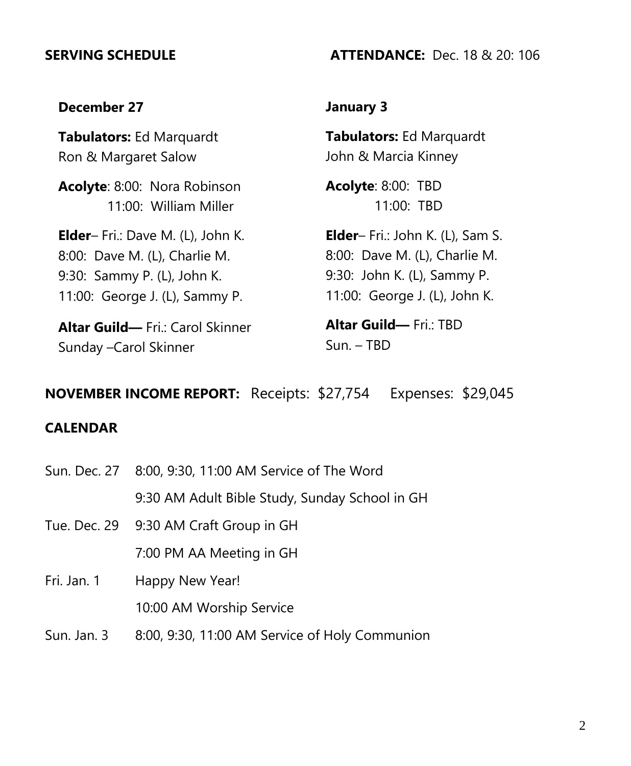### **SERVING SCHEDULE ATTENDANCE:** Dec. 18 & 20: 106

## **December 27**

**Tabulators:** Ed Marquardt Ron & Margaret Salow

**Acolyte**: 8:00: Nora Robinson 11:00: William Miller

**Elder**– Fri.: Dave M. (L), John K. 8:00: Dave M. (L), Charlie M. 9:30: Sammy P. (L), John K. 11:00: George J. (L), Sammy P.

**Altar Guild—** Fri.: Carol Skinner Sunday –Carol Skinner

## **January 3**

**Tabulators:** Ed Marquardt John & Marcia Kinney

**Acolyte**: 8:00: TBD 11:00: TBD

**Elder**– Fri.: John K. (L), Sam S. 8:00: Dave M. (L), Charlie M. 9:30: John K. (L), Sammy P. 11:00: George J. (L), John K.

**Altar Guild— Fri** · TBD Sun. – TBD

# **NOVEMBER INCOME REPORT:** Receipts: \$27,754 Expenses: \$29,045

### **CALENDAR**

- Sun. Dec. 27 8:00, 9:30, 11:00 AM Service of The Word 9:30 AM Adult Bible Study, Sunday School in GH Tue. Dec. 29 9:30 AM Craft Group in GH
	- 7:00 PM AA Meeting in GH
- Fri. Jan. 1 Happy New Year! 10:00 AM Worship Service
- Sun. Jan. 3 8:00, 9:30, 11:00 AM Service of Holy Communion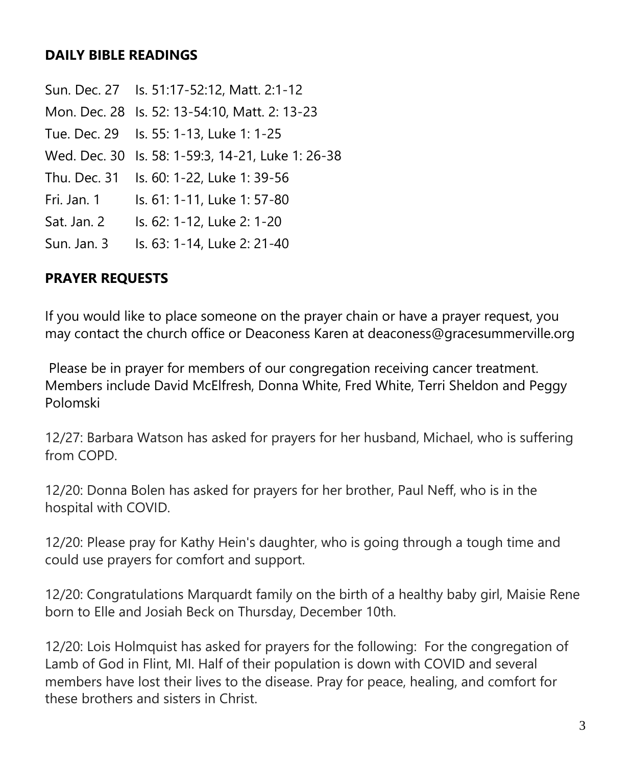# **DAILY BIBLE READINGS**

Sun. Dec. 27 Is. 51:17-52:12, Matt. 2:1-12 Mon. Dec. 28 Is. 52: 13-54:10, Matt. 2: 13-23 Tue. Dec. 29 Is. 55: 1-13, Luke 1: 1-25 Wed. Dec. 30 Is. 58: 1-59:3, 14-21, Luke 1: 26-38 Thu. Dec. 31 Is. 60: 1-22, Luke 1: 39-56 Fri. Jan. 1 Is. 61: 1-11, Luke 1: 57-80 Sat. Jan. 2 Is. 62: 1-12, Luke 2: 1-20 Sun. Jan. 3 Is. 63: 1-14, Luke 2: 21-40

# **PRAYER REQUESTS**

If you would like to place someone on the prayer chain or have a prayer request, you may contact the church office or Deaconess Karen at deaconess@gracesummerville.org

Please be in prayer for members of our congregation receiving cancer treatment. Members include David McElfresh, Donna White, Fred White, Terri Sheldon and Peggy Polomski

12/27: Barbara Watson has asked for prayers for her husband, Michael, who is suffering from COPD.

12/20: Donna Bolen has asked for prayers for her brother, Paul Neff, who is in the hospital with COVID.

12/20: Please pray for Kathy Hein's daughter, who is going through a tough time and could use prayers for comfort and support.

12/20: Congratulations Marquardt family on the birth of a healthy baby girl, Maisie Rene born to Elle and Josiah Beck on Thursday, December 10th.

12/20: Lois Holmquist has asked for prayers for the following: For the congregation of Lamb of God in Flint, MI. Half of their population is down with COVID and several members have lost their lives to the disease. Pray for peace, healing, and comfort for these brothers and sisters in Christ.